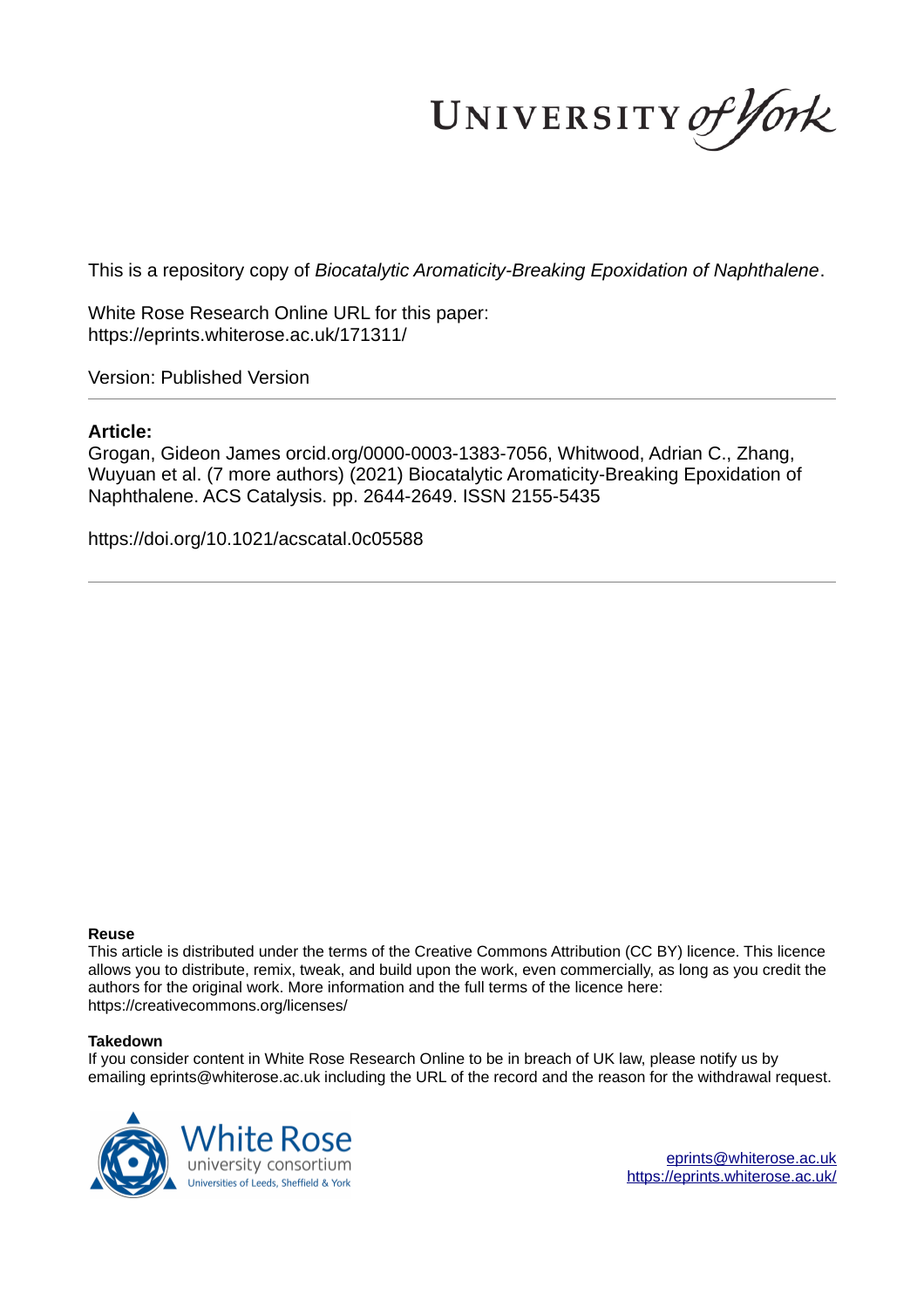UNIVERSITY of York

This is a repository copy of *Biocatalytic Aromaticity-Breaking Epoxidation of Naphthalene*.

White Rose Research Online URL for this paper: https://eprints.whiterose.ac.uk/171311/

Version: Published Version

# **Article:**

Grogan, Gideon James orcid.org/0000-0003-1383-7056, Whitwood, Adrian C., Zhang, Wuyuan et al. (7 more authors) (2021) Biocatalytic Aromaticity-Breaking Epoxidation of Naphthalene. ACS Catalysis. pp. 2644-2649. ISSN 2155-5435

https://doi.org/10.1021/acscatal.0c05588

# **Reuse**

This article is distributed under the terms of the Creative Commons Attribution (CC BY) licence. This licence allows you to distribute, remix, tweak, and build upon the work, even commercially, as long as you credit the authors for the original work. More information and the full terms of the licence here: https://creativecommons.org/licenses/

# **Takedown**

If you consider content in White Rose Research Online to be in breach of UK law, please notify us by emailing eprints@whiterose.ac.uk including the URL of the record and the reason for the withdrawal request.



eprints@whiterose.ac.uk https://eprints.whiterose.ac.uk/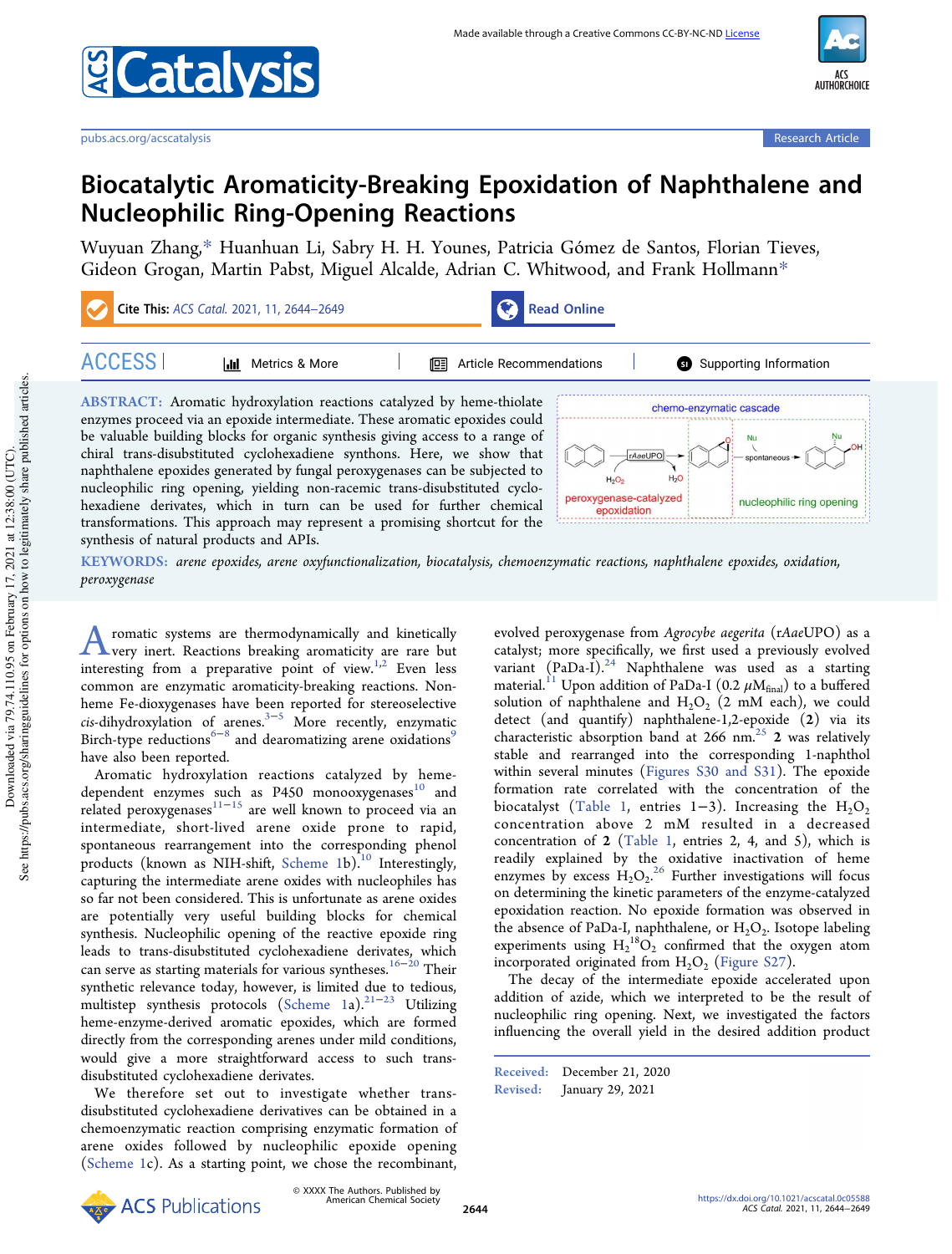

# Biocatalytic Aromaticity-Breaking Epoxidation of Naphthalene and Nucleophilic Ring-Opening Reactions

Wuyuan Zhang,\* Huanhuan Li, Sabry H. H. Younes, Patricia Gómez de Santos, Florian Tieves, Gideon Grogan, Martin Pabst, Miguel Alcalde, Adrian C. Whitwood, and Frank Hollmann\*



synthesis of natural products and APIs.

KEYWORDS: *arene epoxides, arene oxyfunctionalization, biocatalysis, chemoenzymatic reactions, naphthalene epoxides, oxidation, peroxygenase*

A romatic systems are thermodynamically and kinetically<br>very inert. Reactions breaking aromaticity are rare but romatic systems are thermodynamically and kinetically interesting from a preparative point of view.<sup>1,2</sup> Even less common are enzymatic aromaticity-breaking reactions. Nonheme Fe-dioxygenases have been reported for stereoselective *cis*-dihydroxylation of arenes.3−<sup>5</sup> More recently, enzymatic Birch-type reductions<sup> $6-8$ </sup> and dearomatizing arene oxidations<sup>9</sup> have also been reported.

Aromatic hydroxylation reactions catalyzed by hemedependent enzymes such as  $P450$  monooxygenases<sup>10</sup> and related peroxygenases<sup>11−15</sup> are well known to proceed via an intermediate, short-lived arene oxide prone to rapid, spontaneous rearrangement into the corresponding phenol products (known as NIH-shift, Scheme 1b).<sup>10</sup> Interestingly, capturing the intermediate arene oxides with nucleophiles has so far not been considered. This is unfortunate as arene oxides are potentially very useful building blocks for chemical synthesis. Nucleophilic opening of the reactive epoxide ring leads to trans-disubstituted cyclohexadiene derivates, which can serve as starting materials for various syntheses.<sup>16−20</sup> Their synthetic relevance today, however, is limited due to tedious, multistep synthesis protocols (Scheme 1a).<sup>21-23</sup> Utilizing heme-enzyme-derived aromatic epoxides, which are formed directly from the corresponding arenes under mild conditions, would give a more straightforward access to such transdisubstituted cyclohexadiene derivates.

We therefore set out to investigate whether transdisubstituted cyclohexadiene derivatives can be obtained in a chemoenzymatic reaction comprising enzymatic formation of arene oxides followed by nucleophilic epoxide opening (Scheme 1c). As a starting point, we chose the recombinant,

evolved peroxygenase from *Agrocybe aegerita* (r*Aae*UPO) as a catalyst; more specifically, we first used a previously evolved variant  $(PaDa-I)^{24}$  Naphthalene was used as a starting material. $^{11}$  Upon addition of PaDa-I (0.2  $\mu\rm{M_{final}}$ ) to a buffered solution of naphthalene and  $H_2O_2$  (2 mM each), we could detect (and quantify) naphthalene-1,2-epoxide (2) via its characteristic absorption band at 266 nm.<sup>25</sup> 2 was relatively stable and rearranged into the corresponding 1-naphthol within several minutes (Figures S30 and S31). The epoxide formation rate correlated with the concentration of the biocatalyst (Table 1, entries 1–3). Increasing the  $H_2O_2$ concentration above 2 mM resulted in a decreased concentration of 2 (Table 1, entries 2, 4, and 5), which is readily explained by the oxidative inactivation of heme enzymes by excess  $H_2O_2$ .<sup>26</sup> Further investigations will focus on determining the kinetic parameters of the enzyme-catalyzed epoxidation reaction. No epoxide formation was observed in the absence of PaDa-I, naphthalene, or  $\rm H_2O_2$ . Isotope labeling experiments using  $H_2^{18}O_2$  confirmed that the oxygen atom incorporated originated from  $H_2O_2$  (Figure S27).

The decay of the intermediate epoxide accelerated upon addition of azide, which we interpreted to be the result of nucleophilic ring opening. Next, we investigated the factors influencing the overall yield in the desired addition product

Received: December 21, 2020 Revised: January 29, 2021

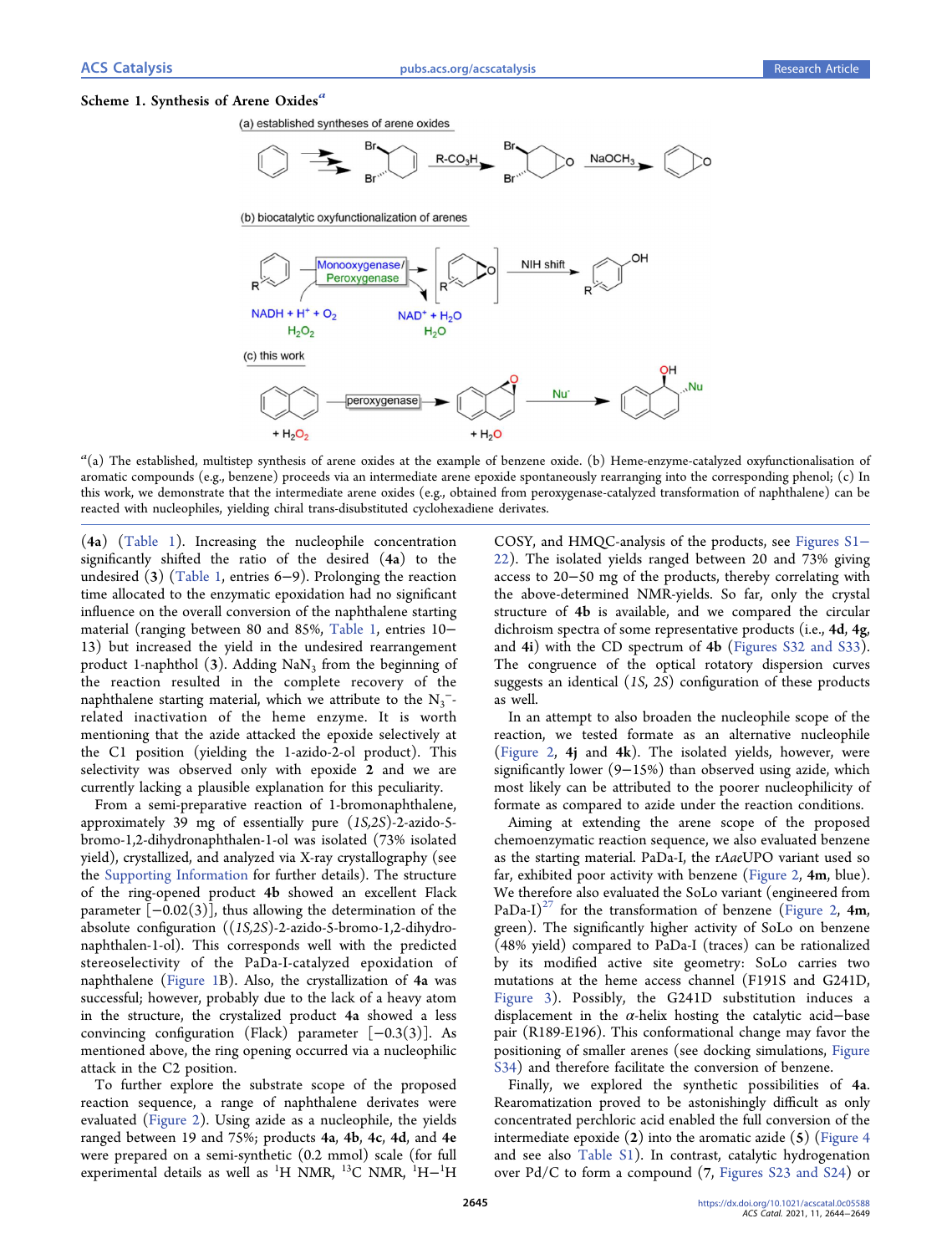#### Scheme 1. Synthesis of Arene Oxides<sup>a</sup>

(a) established syntheses of arene oxides



(b) biocatalytic oxyfunctionalization of arenes



*a* (a) The established, multistep synthesis of arene oxides at the example of benzene oxide. (b) Heme-enzyme-catalyzed oxyfunctionalisation of aromatic compounds (e.g., benzene) proceeds via an intermediate arene epoxide spontaneously rearranging into the corresponding phenol; (c) In this work, we demonstrate that the intermediate arene oxides (e.g., obtained from peroxygenase-catalyzed transformation of naphthalene) can be reacted with nucleophiles, yielding chiral trans-disubstituted cyclohexadiene derivates.

(4a) (Table 1). Increasing the nucleophile concentration significantly shifted the ratio of the desired (4a) to the undesired (3) (Table 1, entries 6−9). Prolonging the reaction time allocated to the enzymatic epoxidation had no significant influence on the overall conversion of the naphthalene starting material (ranging between 80 and 85%, Table 1, entries 10− 13) but increased the yield in the undesired rearrangement product 1-naphthol (3). Adding  $\text{NaN}_3$  from the beginning of the reaction resulted in the complete recovery of the naphthalene starting material, which we attribute to the  $N_3^-$ related inactivation of the heme enzyme. It is worth mentioning that the azide attacked the epoxide selectively at the C1 position (yielding the 1-azido-2-ol product). This selectivity was observed only with epoxide 2 and we are currently lacking a plausible explanation for this peculiarity.

From a semi-preparative reaction of 1-bromonaphthalene, approximately 39 mg of essentially pure (*1S,2S*)-2-azido-5 bromo-1,2-dihydronaphthalen-1-ol was isolated (73% isolated yield), crystallized, and analyzed via X-ray crystallography (see the Supporting Information for further details). The structure of the ring-opened product 4b showed an excellent Flack parameter  $[-0.02(3)]$ , thus allowing the determination of the absolute configuration ((*1S,2S*)-2-azido-5-bromo-1,2-dihydronaphthalen-1-ol). This corresponds well with the predicted stereoselectivity of the PaDa-I-catalyzed epoxidation of naphthalene (Figure 1B). Also, the crystallization of 4a was successful; however, probably due to the lack of a heavy atom in the structure, the crystalized product 4a showed a less convincing configuration (Flack) parameter [−0.3(3)]. As mentioned above, the ring opening occurred via a nucleophilic attack in the C2 position.

To further explore the substrate scope of the proposed reaction sequence, a range of naphthalene derivates were evaluated (Figure 2). Using azide as a nucleophile, the yields ranged between 19 and 75%; products 4a, 4b, 4c, 4d, and 4e were prepared on a semi-synthetic (0.2 mmol) scale (for full experimental details as well as <sup>1</sup>H NMR, <sup>13</sup>C NMR, <sup>1</sup>H−<sup>1</sup>H

COSY, and HMQC-analysis of the products, see Figures S1− 22). The isolated yields ranged between 20 and 73% giving access to 20−50 mg of the products, thereby correlating with the above-determined NMR-yields. So far, only the crystal structure of 4b is available, and we compared the circular dichroism spectra of some representative products (i.e., 4d, 4g, and 4i) with the CD spectrum of 4b (Figures S32 and S33). The congruence of the optical rotatory dispersion curves suggests an identical (*1S*, *2S*) configuration of these products as well.

In an attempt to also broaden the nucleophile scope of the reaction, we tested formate as an alternative nucleophile (Figure 2, 4j and 4k). The isolated yields, however, were significantly lower (9−15%) than observed using azide, which most likely can be attributed to the poorer nucleophilicity of formate as compared to azide under the reaction conditions.

Aiming at extending the arene scope of the proposed chemoenzymatic reaction sequence, we also evaluated benzene as the starting material. PaDa-I, the r*Aae*UPO variant used so far, exhibited poor activity with benzene (Figure 2, 4m, blue). We therefore also evaluated the SoLo variant (engineered from PaDa-I)<sup>27</sup> for the transformation of benzene (Figure 2, 4m, green). The significantly higher activity of SoLo on benzene (48% yield) compared to PaDa-I (traces) can be rationalized by its modified active site geometry: SoLo carries two mutations at the heme access channel (F191S and G241D, Figure 3). Possibly, the G241D substitution induces a displacement in the  $\alpha$ -helix hosting the catalytic acid–base pair (R189-E196). This conformational change may favor the positioning of smaller arenes (see docking simulations, Figure S34) and therefore facilitate the conversion of benzene.

Finally, we explored the synthetic possibilities of 4a. Rearomatization proved to be astonishingly difficult as only concentrated perchloric acid enabled the full conversion of the intermediate epoxide  $(2)$  into the aromatic azide  $(5)$  (Figure 4 and see also Table S1). In contrast, catalytic hydrogenation over Pd/C to form a compound (7, Figures S23 and S24) or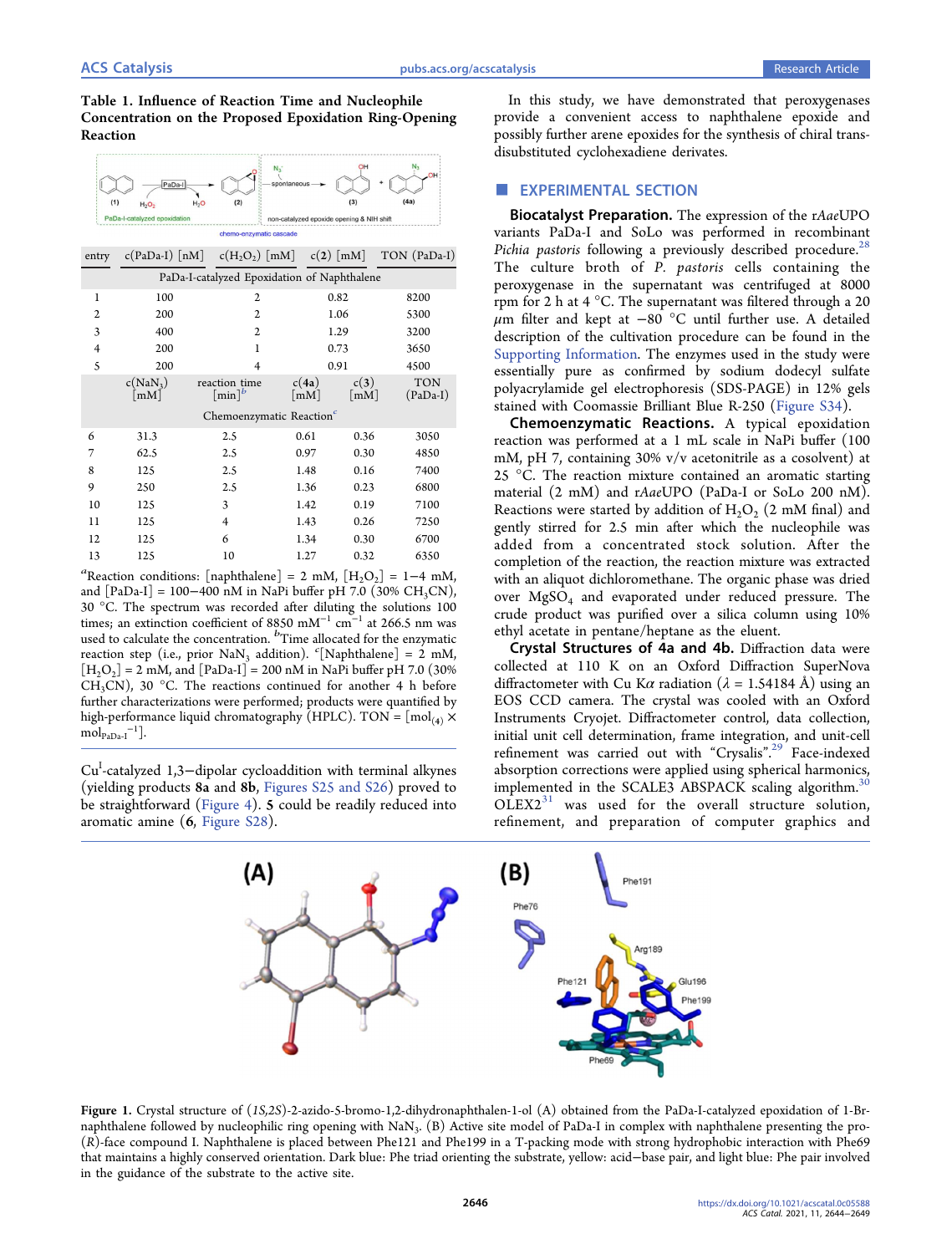# Table 1. Influence of Reaction Time and Nucleophile Concentration on the Proposed Epoxidation Ring-Opening Reaction



| entry                                       |                                    | $c(PaDa-I)$ [nM] $c(H, O_2)$ [mM] $c(2)$ [mM] |                                |                              | TON (PaDa-I)             |
|---------------------------------------------|------------------------------------|-----------------------------------------------|--------------------------------|------------------------------|--------------------------|
| PaDa-I-catalyzed Epoxidation of Naphthalene |                                    |                                               |                                |                              |                          |
| 1                                           | 100                                | $\overline{2}$                                |                                | 0.82                         | 8200                     |
| 2                                           | 200                                | $\overline{2}$                                |                                | 1.06                         | 5300                     |
| 3                                           | 400                                | $\overline{2}$                                |                                | 1.29                         | 3200                     |
| 4                                           | 200                                | 1                                             |                                | 0.73                         | 3650                     |
| 5                                           | 200                                | $\overline{4}$                                |                                | 0.91                         | 4500                     |
|                                             | $c(NaN_3)$<br>$\lceil$ mM $\rceil$ | reaction time<br>$\lceil \min \rceil^b$       | c(4a)<br>$\lceil$ m $M \rceil$ | c(3)<br>$\lceil$ mM $\rceil$ | <b>TON</b><br>$(PaDa-I)$ |
| Chemoenzymatic Reaction <sup>c</sup>        |                                    |                                               |                                |                              |                          |
| 6                                           | 31.3                               | 2.5                                           | 0.61                           | 0.36                         | 3050                     |
| 7                                           | 62.5                               | 2.5                                           | 0.97                           | 0.30                         | 4850                     |
| 8                                           | 125                                | 2.5                                           | 1.48                           | 0.16                         | 7400                     |
| 9                                           | 250                                | 2.5                                           | 1.36                           | 0.23                         | 6800                     |
| 10                                          | 125                                | 3                                             | 1.42                           | 0.19                         | 7100                     |
| 11                                          | 125                                | $\overline{4}$                                | 1.43                           | 0.26                         | 7250                     |
| 12                                          | 125                                | 6                                             | 1.34                           | 0.30                         | 6700                     |
| 13                                          | 125                                | 10                                            | 1.27                           | 0.32                         | 6350                     |

 $a^a$ Reaction conditions: [naphthalene] = 2 mM,  $[H_2O_2] = 1-4$  mM, and  $[PaDa-I] = 100-400$  nM in NaPi buffer pH 7.0 (30% CH<sub>3</sub>CN), 30 °C. The spectrum was recorded after diluting the solutions 100 times; an extinction coefficient of 8850 mM<sup>-1</sup> cm<sup>-1</sup> at 266.5 nm was used to calculate the concentration. <sup>*b*</sup>Time allocated for the enzymatic reaction step (i.e., prior NaN<sup>3</sup> addition). *<sup>c</sup>* [Naphthalene] = 2 mM,  $[H_2O_2] = 2$  mM, and  $[PaDa-I] = 200$  nM in NaPi buffer pH 7.0 (30%) CH<sub>3</sub>CN), 30 °C. The reactions continued for another 4 h before further characterizations were performed; products were quantified by high-performance liquid chromatography (HPLC). TON =  $\lceil \text{mol}_{(4)} \times$  $mol_{PaDa-I}^{-1}$ ].

Cu<sup>I</sup>-catalyzed 1,3-dipolar cycloaddition with terminal alkynes (yielding products 8a and 8b, Figures S25 and S26) proved to be straightforward (Figure 4). 5 could be readily reduced into aromatic amine (6, Figure S28).

In this study, we have demonstrated that peroxygenases provide a convenient access to naphthalene epoxide and possibly further arene epoxides for the synthesis of chiral transdisubstituted cyclohexadiene derivates.

# **EXPERIMENTAL SECTION**

Biocatalyst Preparation. The expression of the r*Aae*UPO variants PaDa-I and SoLo was performed in recombinant *Pichia pastoris* following a previously described procedure.<sup>28</sup> The culture broth of *P. pastoris* cells containing the peroxygenase in the supernatant was centrifuged at 8000 rpm for 2 h at 4 °C. The supernatant was filtered through a 20  $\mu$ m filter and kept at −80 °C until further use. A detailed description of the cultivation procedure can be found in the Supporting Information. The enzymes used in the study were essentially pure as confirmed by sodium dodecyl sulfate polyacrylamide gel electrophoresis (SDS-PAGE) in 12% gels stained with Coomassie Brilliant Blue R-250 (Figure S34).

Chemoenzymatic Reactions. A typical epoxidation reaction was performed at a 1 mL scale in NaPi buffer (100 mM, pH 7, containing 30% v/v acetonitrile as a cosolvent) at 25 °C. The reaction mixture contained an aromatic starting material (2 mM) and r*Aae*UPO (PaDa-I or SoLo 200 nM). Reactions were started by addition of  $H_2O_2$  (2 mM final) and gently stirred for 2.5 min after which the nucleophile was added from a concentrated stock solution. After the completion of the reaction, the reaction mixture was extracted with an aliquot dichloromethane. The organic phase was dried over MgSO<sup>4</sup> and evaporated under reduced pressure. The crude product was purified over a silica column using 10% ethyl acetate in pentane/heptane as the eluent.

Crystal Structures of 4a and 4b. Diffraction data were collected at 110 K on an Oxford Diffraction SuperNova diffractometer with Cu K $\alpha$  radiation ( $\lambda = 1.54184$  Å) using an EOS CCD camera. The crystal was cooled with an Oxford Instruments Cryojet. Diffractometer control, data collection, initial unit cell determination, frame integration, and unit-cell refinement was carried out with "Crysalis".<sup>29</sup> Face-indexed absorption corrections were applied using spherical harmonics, implemented in the SCALE3 ABSPACK scaling algorithm.<sup>3</sup>  $OLEX2<sup>31</sup>$  was used for the overall structure solution, refinement, and preparation of computer graphics and



Figure 1. Crystal structure of (*1S,2S*)-2-azido-5-bromo-1,2-dihydronaphthalen-1-ol (A) obtained from the PaDa-I-catalyzed epoxidation of 1-Brnaphthalene followed by nucleophilic ring opening with  $\text{Na}\text{N}_3$ . (B) Active site model of PaDa-I in complex with naphthalene presenting the pro-(*R*)-face compound I. Naphthalene is placed between Phe121 and Phe199 in a T-packing mode with strong hydrophobic interaction with Phe69 that maintains a highly conserved orientation. Dark blue: Phe triad orienting the substrate, yellow: acid−base pair, and light blue: Phe pair involved in the guidance of the substrate to the active site.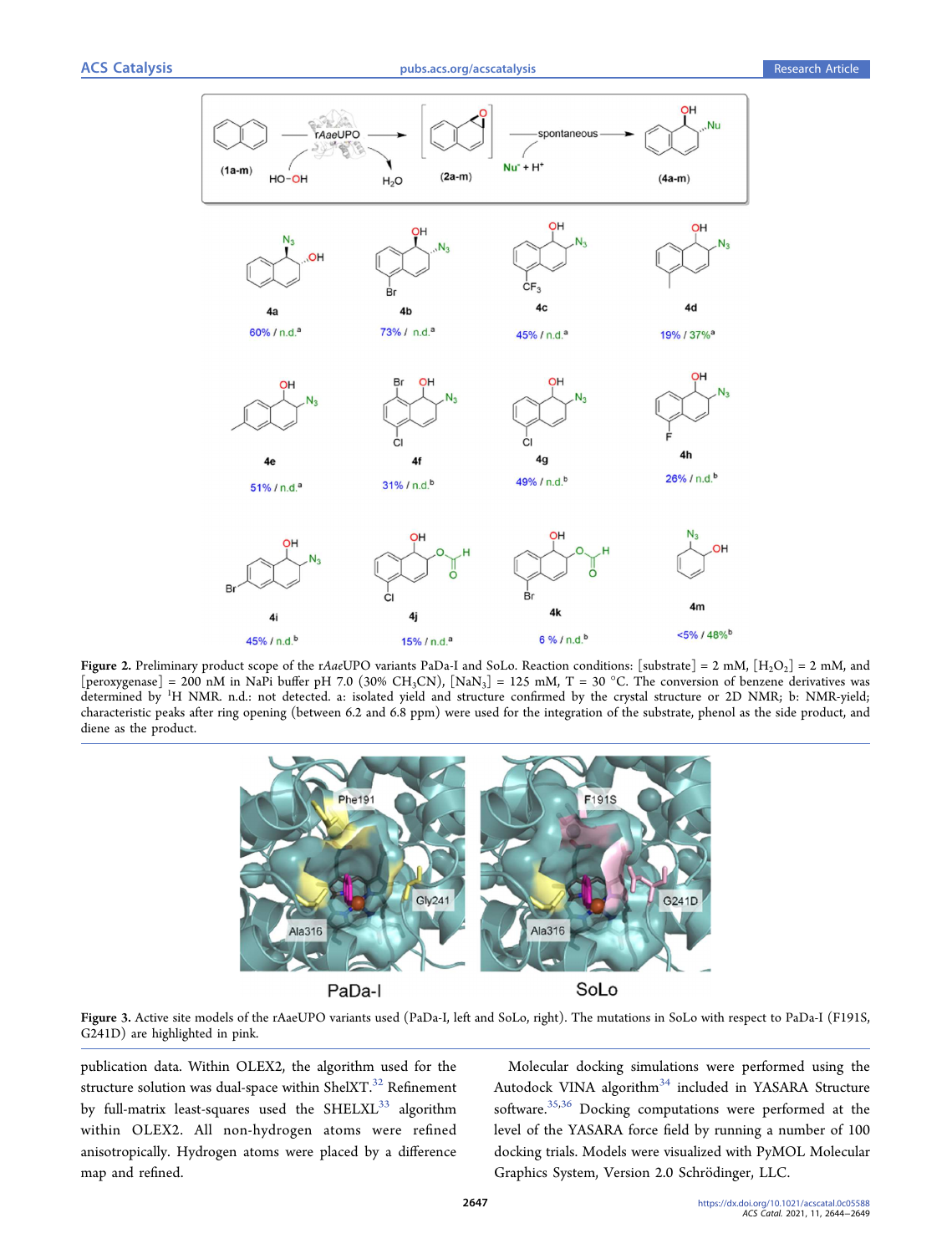

Figure 2. Preliminary product scope of the r*Aae*UPO variants PaDa-I and SoLo. Reaction conditions: [substrate] = 2 mM, [H<sub>2</sub>O<sub>2</sub>] = 2 mM, and [peroxygenase] = 200 nM in NaPi buffer pH 7.0 (30% CH<sub>3</sub>CN), [NaN<sub>3</sub>] = 125 mM, T = 30 °C. The conversion of benzene derivatives was determined by <sup>1</sup>H NMR. n.d.: not detected. a: isolated yield and structure confirmed by the crystal structure or 2D NMR; b: NMR-yield; characteristic peaks after ring opening (between 6.2 and 6.8 ppm) were used for the integration of the substrate, phenol as the side product, and diene as the product.



Figure 3. Active site models of the rAaeUPO variants used (PaDa-I, left and SoLo, right). The mutations in SoLo with respect to PaDa-I (F191S, G241D) are highlighted in pink.

publication data. Within OLEX2, the algorithm used for the structure solution was dual-space within ShelXT. $^{32}$  Refinement by full-matrix least-squares used the  $SHELXL^{33}$  algorithm within OLEX2. All non-hydrogen atoms were refined anisotropically. Hydrogen atoms were placed by a difference map and refined.

Molecular docking simulations were performed using the Autodock VINA algorithm<sup>34</sup> included in YASARA Structure software.<sup>35,36</sup> Docking computations were performed at the level of the YASARA force field by running a number of 100 docking trials. Models were visualized with PyMOL Molecular Graphics System, Version 2.0 Schrödinger, LLC.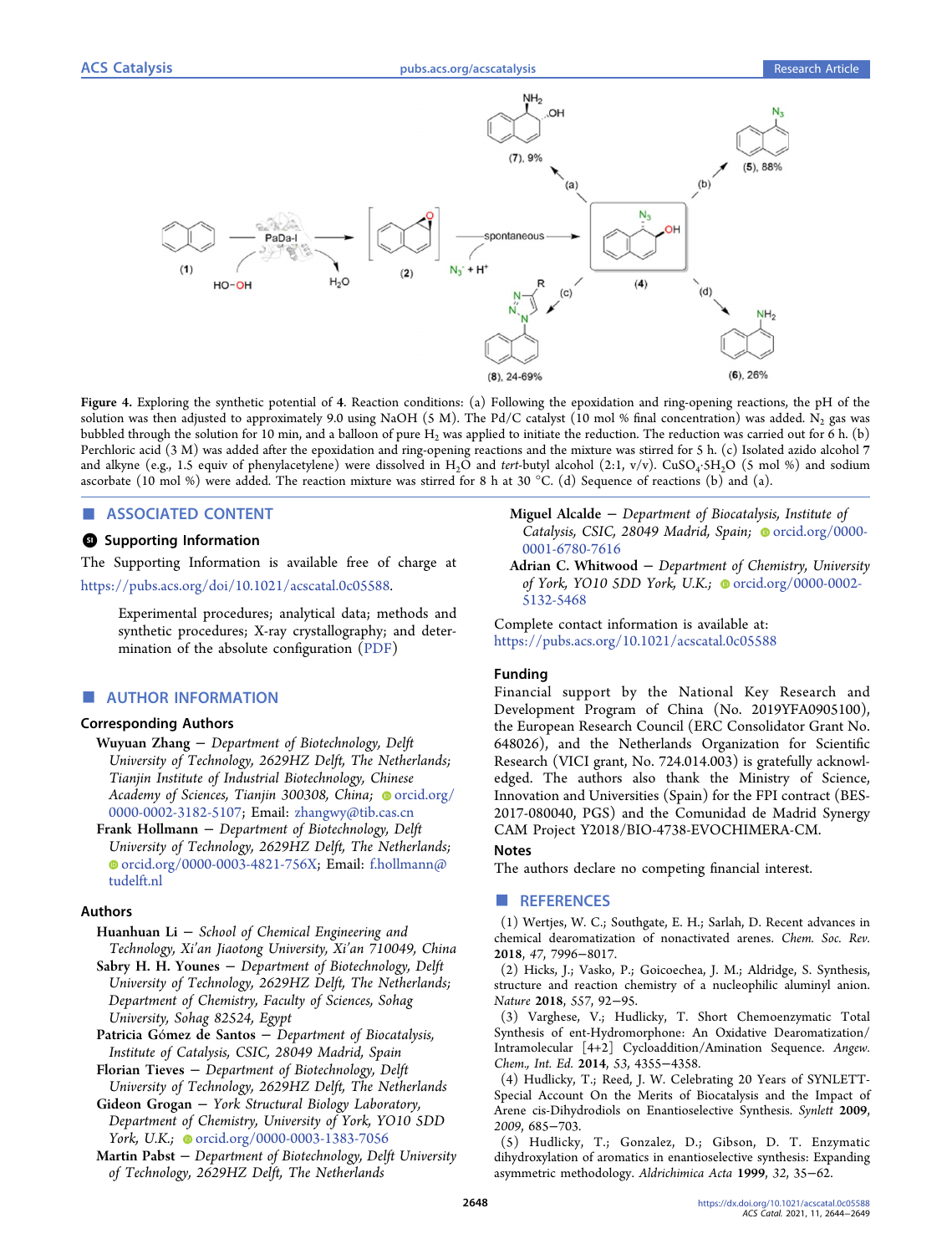

Figure 4. Exploring the synthetic potential of 4. Reaction conditions: (a) Following the epoxidation and ring-opening reactions, the pH of the solution was then adjusted to approximately 9.0 using NaOH (5 M). The Pd/C catalyst (10 mol % final concentration) was added. N<sub>2</sub> gas was bubbled through the solution for 10 min, and a balloon of pure H<sub>2</sub> was applied to initiate the reduction. The reduction was carried out for 6 h. (b) Perchloric acid (3 M) was added after the epoxidation and ring-opening reactions and the mixture was stirred for 5 h. (c) Isolated azido alcohol 7 and alkyne (e.g., 1.5 equiv of phenylacetylene) were dissolved in H<sub>2</sub>O and *tert*-butyl alcohol (2:1, v/v). CuSO<sub>4</sub> 5H<sub>2</sub>O (5 mol %) and sodium ascorbate (10 mol %) were added. The reaction mixture was stirred for 8 h at 30 °C. (d) Sequence of reactions (b) and (a).

### ASSOCIATED CONTENT

# **<sup>3</sup>** Supporting Information

The Supporting Information is available free of charge at https://pubs.acs.org/doi/10.1021/acscatal.0c05588.

> Experimental procedures; analytical data; methods and synthetic procedures; X-ray crystallography; and determination of the absolute configuration (PDF)

#### ■ AUTHOR INFORMATION

#### Corresponding Authors

- Wuyuan Zhang − *Department of Biotechnology, Delft University of Technology, 2629HZ Delft, The Netherlands; Tianjin Institute of Industrial Biotechnology, Chinese* Academy of Sciences, Tianjin 300308, China; orcid.org/ 0000-0002-3182-5107; Email: zhangwy@tib.cas.cn
- Frank Hollmann − *Department of Biotechnology, Delft University of Technology, 2629HZ Delft, The Netherlands;* orcid.org/0000-0003-4821-756X; Email: f.hollmann@ tudelft.nl

#### Authors

- Huanhuan Li − *School of Chemical Engineering and Technology, Xi*'*an Jiaotong University, Xi*'*an 710049, China*
- Sabry H. H. Younes − *Department of Biotechnology, Delft University of Technology, 2629HZ Delft, The Netherlands; Department of Chemistry, Faculty of Sciences, Sohag University, Sohag 82524, Egypt*
- Patricia Gómez de Santos − *Department of Biocatalysis, Institute of Catalysis, CSIC, 28049 Madrid, Spain*
- Florian Tieves − *Department of Biotechnology, Delft University of Technology, 2629HZ Delft, The Netherlands*
- Gideon Grogan − *York Structural Biology Laboratory, Department of Chemistry, University of York, YO10 5DD York, U.K.;* ● orcid.org/0000-0003-1383-7056
- Martin Pabst − *Department of Biotechnology, Delft University of Technology, 2629HZ Delft, The Netherlands*
- Miguel Alcalde − *Department of Biocatalysis, Institute of* Catalysis, CSIC, 28049 Madrid, Spain; orcid.org/0000-0001-6780-7616
- Adrian C. Whitwood − *Department of Chemistry, University of York, YO10 5DD York, U.K.;* ● orcid.org/0000-0002-5132-5468

Complete contact information is available at: https://pubs.acs.org/10.1021/acscatal.0c05588

#### Funding

Financial support by the National Key Research and Development Program of China (No. 2019YFA0905100), the European Research Council (ERC Consolidator Grant No. 648026), and the Netherlands Organization for Scientific Research (VICI grant, No. 724.014.003) is gratefully acknowledged. The authors also thank the Ministry of Science, Innovation and Universities (Spain) for the FPI contract (BES-2017-080040, PGS) and the Comunidad de Madrid Synergy CAM Project Y2018/BIO-4738-EVOCHIMERA-CM.

#### Notes

The authors declare no competing financial interest. ■ REFERENCES

(1) Wertjes, W. C.; Southgate, E. H.; Sarlah, D. Recent advances in chemical dearomatization of nonactivated arenes. *Chem. Soc. Rev.* 2018, *47*, 7996−8017.

(2) Hicks, J.; Vasko, P.; Goicoechea, J. M.; Aldridge, S. Synthesis, structure and reaction chemistry of a nucleophilic aluminyl anion. *Nature* 2018, *557*, 92−95.

(3) Varghese, V.; Hudlicky, T. Short Chemoenzymatic Total Synthesis of ent-Hydromorphone: An Oxidative Dearomatization/ Intramolecular [4+2] Cycloaddition/Amination Sequence. *Angew. Chem., Int. Ed.* 2014, *53*, 4355−4358.

(4) Hudlicky, T.; Reed, J. W. Celebrating 20 Years of SYNLETT-Special Account On the Merits of Biocatalysis and the Impact of Arene cis-Dihydrodiols on Enantioselective Synthesis. *Synlett* 2009, *2009*, 685−703.

(5) Hudlicky, T.; Gonzalez, D.; Gibson, D. T. Enzymatic dihydroxylation of aromatics in enantioselective synthesis: Expanding asymmetric methodology. *Aldrichimica Acta* 1999, *32*, 35−62.